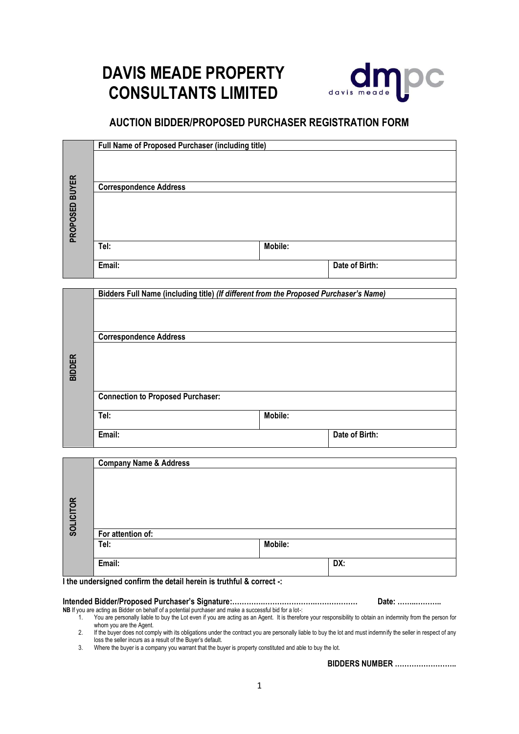# **DAVIS MEADE PROPERTY CONSULTANTS LIMITED**



# **AUCTION BIDDER/PROPOSED PURCHASER REGISTRATION FORM**

|                | Full Name of Proposed Purchaser (including title) |         |                |
|----------------|---------------------------------------------------|---------|----------------|
|                |                                                   |         |                |
| PROPOSED BUYER | <b>Correspondence Address</b>                     |         |                |
|                |                                                   |         |                |
|                |                                                   |         |                |
|                |                                                   |         |                |
|                |                                                   |         |                |
|                | Tel:                                              | Mobile: |                |
|                | Email:                                            |         | Date of Birth: |

|               | Bidders Full Name (including title) (If different from the Proposed Purchaser's Name) |         |                |  |  |
|---------------|---------------------------------------------------------------------------------------|---------|----------------|--|--|
|               |                                                                                       |         |                |  |  |
|               | <b>Correspondence Address</b>                                                         |         |                |  |  |
| <b>BIDDER</b> |                                                                                       |         |                |  |  |
|               |                                                                                       |         |                |  |  |
|               | <b>Connection to Proposed Purchaser:</b>                                              |         |                |  |  |
|               | Tel:                                                                                  | Mobile: |                |  |  |
|               | Email:                                                                                |         | Date of Birth: |  |  |

|                  | <b>Company Name &amp; Address</b> |         |     |
|------------------|-----------------------------------|---------|-----|
|                  |                                   |         |     |
|                  |                                   |         |     |
|                  |                                   |         |     |
|                  |                                   |         |     |
| <b>SOLICITOR</b> |                                   |         |     |
|                  |                                   |         |     |
|                  | For attention of:                 |         |     |
|                  | Tel:                              | Mobile: |     |
|                  |                                   |         |     |
|                  | Email:                            |         | DX: |
|                  |                                   |         |     |

**I the undersigned confirm the detail herein is truthful & correct -:**

|                                                                                                         | Date: ………………… |
|---------------------------------------------------------------------------------------------------------|---------------|
| NB If you are acting as Bidder on behalf of a potential purchaser and make a successful bid for a lot-: |               |

1. You are personally liable to buy the Lot even if you are acting as an Agent. It is therefore your responsibility to obtain an indemnity from the person for whom you are the Agent.

2. If the buyer does not comply with its obligations under the contract you are personally liable to buy the lot and must indemnify the seller in respect of any loss the seller incurs as a result of the Buyer's default.

3. Where the buyer is a company you warrant that the buyer is property constituted and able to buy the lot.

**BIDDERS NUMBER ……………………..**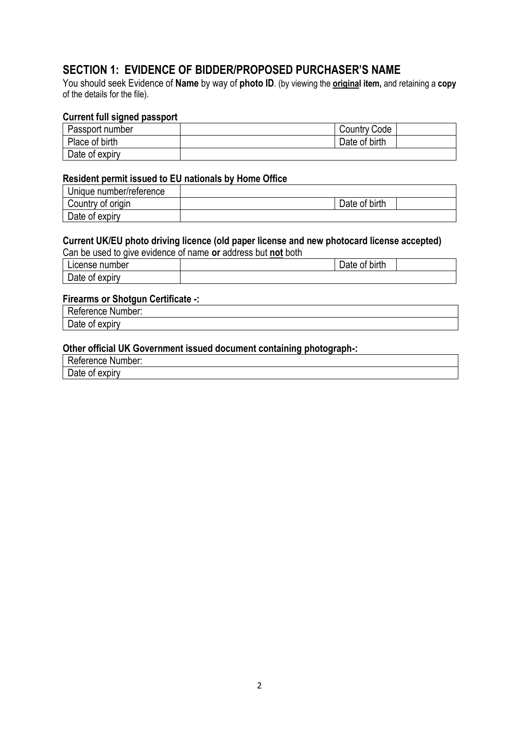# **SECTION 1: EVIDENCE OF BIDDER/PROPOSED PURCHASER'S NAME**

You should seek Evidence of **Name** by way of **photo ID**. (by viewing the **original item,** and retaining a **copy** of the details for the file).

# **Current full signed passport**

| Passport number | <b>Country Code</b> |  |
|-----------------|---------------------|--|
| Place of birth  | Date of birth       |  |
| Date of expiry  |                     |  |

### **Resident permit issued to EU nationals by Home Office**

| Unique number/reference |               |  |
|-------------------------|---------------|--|
| Country of origin       | Date of birth |  |
| Date of expiry          |               |  |

# **Current UK/EU photo driving licence (old paper license and new photocard license accepted)**

|  | Can be used to give evidence of name or address but not both |  |  |
|--|--------------------------------------------------------------|--|--|
|  |                                                              |  |  |

| <b>Icense</b><br>numper     | .<br><b>birth</b><br>0t<br>Dale : |  |
|-----------------------------|-----------------------------------|--|
| -<br>expiry<br>Date r<br>0Ī |                                   |  |

### **Firearms or Shotgun Certificate -:**

Reference Number:

Date of expiry

# **Other official UK Government issued document containing photograph-:**

Reference Number:

Date of expiry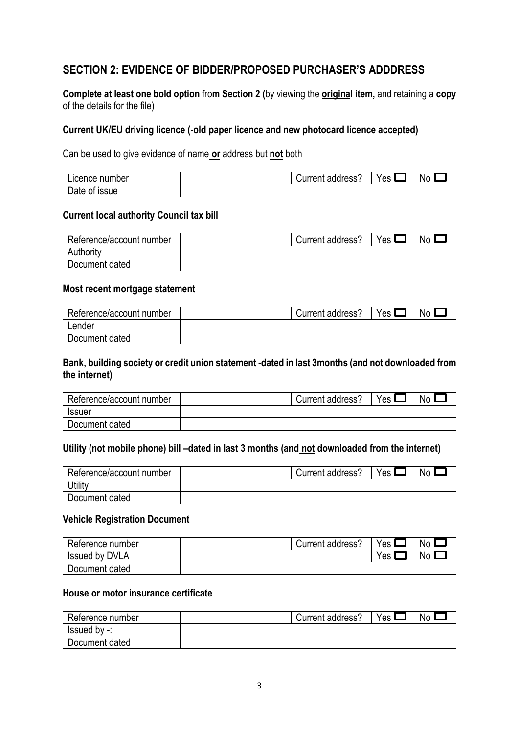# **SECTION 2: EVIDENCE OF BIDDER/PROPOSED PURCHASER'S ADDDRESS**

**Complete at least one bold option** fro**m Section 2 (**by viewing the **original item,** and retaining a **copy** of the details for the file)

# **Current UK/EU driving licence (-old paper licence and new photocard licence accepted)**

Can be used to give evidence of name **or** address but **not** both

| Licence r<br>number              | Jurrent -<br>address | es | No |
|----------------------------------|----------------------|----|----|
| -<br><b>ISSUE</b><br>0t<br>ate r |                      |    |    |

### **Current local authority Council tax bill**

| Reference/account number | Current address? | Yes. | N٥ |
|--------------------------|------------------|------|----|
| Authority                |                  |      |    |
| Document dated           |                  |      |    |

### **Most recent mortgage statement**

| Reference/account number | Current address? | $V_{ES}$ | Nc |
|--------------------------|------------------|----------|----|
| ∟ender                   |                  |          |    |
| Document dated           |                  |          |    |

# **Bank, building society or credit union statement -dated in last 3months (and not downloaded from the internet)**

| Reference/account number | Current address? | $V_{ES}$ | No |
|--------------------------|------------------|----------|----|
| Issuer                   |                  |          |    |
| Document dated           |                  |          |    |

# **Utility (not mobile phone) bill –dated in last 3 months (and not downloaded from the internet)**

| Reference/account number | Current address? | Yes I | N٥ |
|--------------------------|------------------|-------|----|
| Utility                  |                  |       |    |
| Document dated           |                  |       |    |

#### **Vehicle Registration Document**

| Reference number      | Current address? | Yes | <b>No</b> |
|-----------------------|------------------|-----|-----------|
| <b>Issued by DVLA</b> |                  | Yes | No.       |
| Document dated        |                  |     |           |

# **House or motor insurance certificate**

| Reference number | Current address': | Yes L | Nc |
|------------------|-------------------|-------|----|
| lssued by -:     |                   |       |    |
| Document dated   |                   |       |    |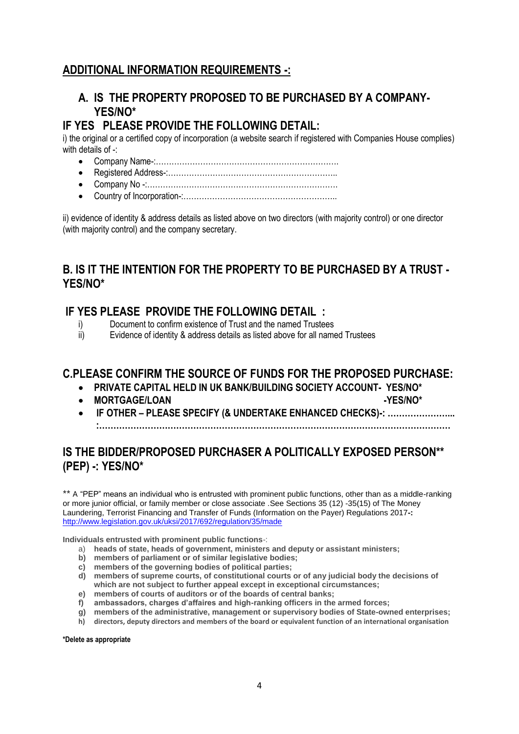# **ADDITIONAL INFORMATION REQUIREMENTS -:**

# **A. IS THE PROPERTY PROPOSED TO BE PURCHASED BY A COMPANY-YES/NO\***

# **IF YES PLEASE PROVIDE THE FOLLOWING DETAIL:**

i) the original or a certified copy of incorporation (a website search if registered with Companies House complies) with details of -

- Company Name-:…………………………………………………………….
- Registered Address-:………………………………………………………..
- Company No -:……………………………………………………………….
- Country of Incorporation-:…………………………………………………..

ii) evidence of identity & address details as listed above on two directors (with majority control) or one director (with majority control) and the company secretary.

# **B. IS IT THE INTENTION FOR THE PROPERTY TO BE PURCHASED BY A TRUST - YES/NO\***

# **IF YES PLEASE PROVIDE THE FOLLOWING DETAIL :**

- i) Document to confirm existence of Trust and the named Trustees
- ii) Evidence of identity & address details as listed above for all named Trustees

# **C.PLEASE CONFIRM THE SOURCE OF FUNDS FOR THE PROPOSED PURCHASE:**

- **PRIVATE CAPITAL HELD IN UK BANK/BUILDING SOCIETY ACCOUNT- YES/NO\***
- MORTGAGE/LOAN **-YES/NO\***
- **IF OTHER – PLEASE SPECIFY (& UNDERTAKE ENHANCED CHECKS)-: …………………... :……………………………………………………………………………………………………………**

# **IS THE BIDDER/PROPOSED PURCHASER A POLITICALLY EXPOSED PERSON\*\* (PEP) -: YES/NO\***

\*\* A "PEP" means an individual who is entrusted with prominent public functions, other than as a middle-ranking or more junior official, or family member or close associate .See Sections 35 (12) -35(15) of The Money Laundering, Terrorist Financing and Transfer of Funds (Information on the Payer) Regulations 2017**-:** <http://www.legislation.gov.uk/uksi/2017/692/regulation/35/made>

**Individuals entrusted with prominent public functions**-:

- a) **heads of state, heads of government, ministers and deputy or assistant ministers;**
- **b) members of parliament or of similar legislative bodies;**
- **c) members of the governing bodies of political parties;**
- **d) members of supreme courts, of constitutional courts or of any judicial body the decisions of which are not subject to further appeal except in exceptional circumstances;**
- **e) members of courts of auditors or of the boards of central banks;**
- **f) ambassadors, charges d'affaires and high-ranking officers in the armed forces;**
- **g) members of the administrative, management or supervisory bodies of State-owned enterprises;**
- **h) directors, deputy directors and members of the board or equivalent function of an international organisation**

**\*Delete as appropriate**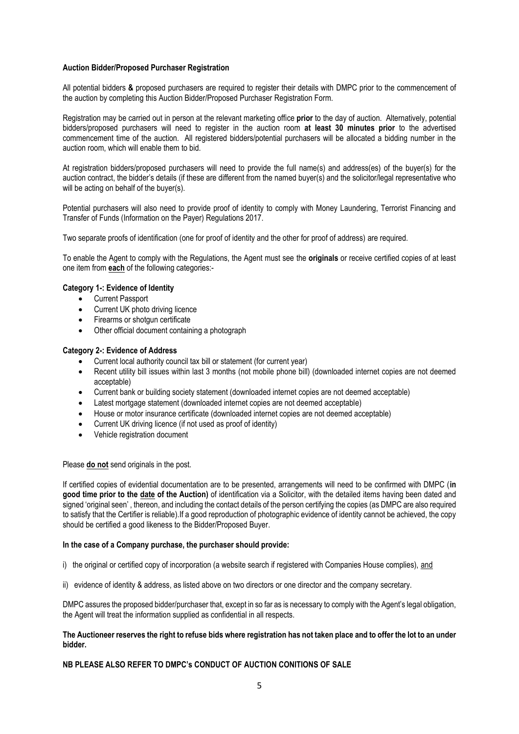#### **Auction Bidder/Proposed Purchaser Registration**

All potential bidders **&** proposed purchasers are required to register their details with DMPC prior to the commencement of the auction by completing this Auction Bidder/Proposed Purchaser Registration Form.

Registration may be carried out in person at the relevant marketing office **prior** to the day of auction. Alternatively, potential bidders/proposed purchasers will need to register in the auction room **at least 30 minutes prior** to the advertised commencement time of the auction. All registered bidders/potential purchasers will be allocated a bidding number in the auction room, which will enable them to bid.

At registration bidders/proposed purchasers will need to provide the full name(s) and address(es) of the buyer(s) for the auction contract, the bidder's details (if these are different from the named buyer(s) and the solicitor/legal representative who will be acting on behalf of the buyer(s).

Potential purchasers will also need to provide proof of identity to comply with Money Laundering, Terrorist Financing and Transfer of Funds (Information on the Payer) Regulations 2017.

Two separate proofs of identification (one for proof of identity and the other for proof of address) are required.

To enable the Agent to comply with the Regulations, the Agent must see the **originals** or receive certified copies of at least one item from **each** of the following categories:-

#### **Category 1-: Evidence of Identity**

- Current Passport
- Current UK photo driving licence
- Firearms or shotgun certificate
- Other official document containing a photograph

#### **Category 2-: Evidence of Address**

- Current local authority council tax bill or statement (for current year)
- Recent utility bill issues within last 3 months (not mobile phone bill) (downloaded internet copies are not deemed acceptable)
- Current bank or building society statement (downloaded internet copies are not deemed acceptable)
- Latest mortgage statement (downloaded internet copies are not deemed acceptable)
- House or motor insurance certificate (downloaded internet copies are not deemed acceptable)
- Current UK driving licence (if not used as proof of identity)
- Vehicle registration document

Please **do not** send originals in the post.

If certified copies of evidential documentation are to be presented, arrangements will need to be confirmed with DMPC (**in good time prior to the date of the Auction)** of identification via a Solicitor, with the detailed items having been dated and signed 'original seen' , thereon, and including the contact details of the person certifying the copies (as DMPC are also required to satisfy that the Certifier is reliable).If a good reproduction of photographic evidence of identity cannot be achieved, the copy should be certified a good likeness to the Bidder/Proposed Buyer.

#### **In the case of a Company purchase, the purchaser should provide:**

- i) the original or certified copy of incorporation (a website search if registered with Companies House complies), and
- ii) evidence of identity & address, as listed above on two directors or one director and the company secretary.

DMPC assures the proposed bidder/purchaser that, except in so far as is necessary to comply with the Agent's legal obligation, the Agent will treat the information supplied as confidential in all respects.

#### **The Auctioneer reserves the right to refuse bids where registration has not taken place and to offer the lot to an under bidder.**

#### **NB PLEASE ALSO REFER TO DMPC's CONDUCT OF AUCTION CONITIONS OF SALE**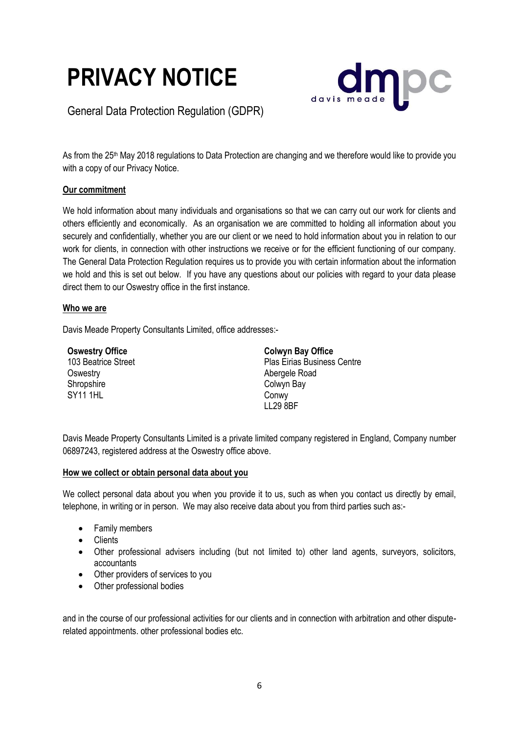



General Data Protection Regulation (GDPR)

As from the 25<sup>th</sup> May 2018 regulations to Data Protection are changing and we therefore would like to provide you with a copy of our Privacy Notice.

# **Our commitment**

We hold information about many individuals and organisations so that we can carry out our work for clients and others efficiently and economically. As an organisation we are committed to holding all information about you securely and confidentially, whether you are our client or we need to hold information about you in relation to our work for clients, in connection with other instructions we receive or for the efficient functioning of our company. The General Data Protection Regulation requires us to provide you with certain information about the information we hold and this is set out below. If you have any questions about our policies with regard to your data please direct them to our Oswestry office in the first instance.

### **Who we are**

Davis Meade Property Consultants Limited, office addresses:-

| <b>Oswestry Office</b> | <b>Colwyn Bay Office</b>           |
|------------------------|------------------------------------|
| 103 Beatrice Street    | <b>Plas Eirias Business Centre</b> |
| Oswestry               | Abergele Road                      |
| Shropshire             | Colwyn Bay                         |
| <b>SY11 1HL</b>        | Conwy                              |
|                        | <b>LL29 8BF</b>                    |

Davis Meade Property Consultants Limited is a private limited company registered in England, Company number 06897243, registered address at the Oswestry office above.

# **How we collect or obtain personal data about you**

We collect personal data about you when you provide it to us, such as when you contact us directly by email, telephone, in writing or in person. We may also receive data about you from third parties such as:-

- Family members
- **Clients**
- Other professional advisers including (but not limited to) other land agents, surveyors, solicitors, accountants
- Other providers of services to you
- Other professional bodies

and in the course of our professional activities for our clients and in connection with arbitration and other disputerelated appointments. other professional bodies etc.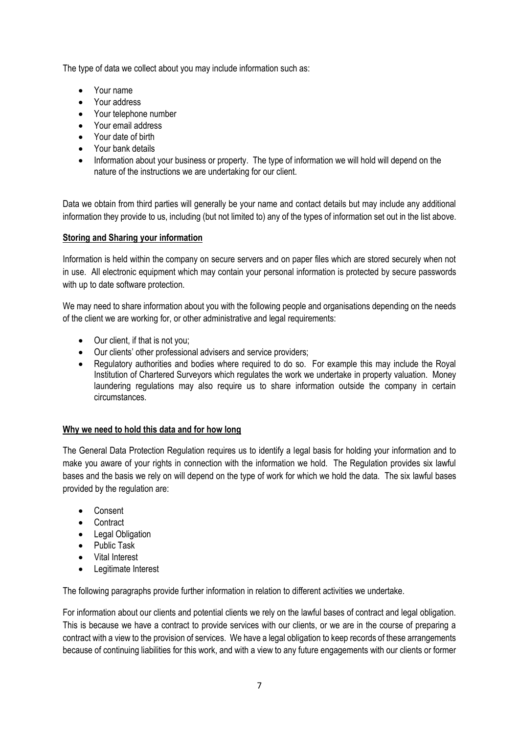The type of data we collect about you may include information such as:

- Your name
- Your address
- Your telephone number
- Your email address
- Your date of birth
- Your bank details
- Information about your business or property. The type of information we will hold will depend on the nature of the instructions we are undertaking for our client.

Data we obtain from third parties will generally be your name and contact details but may include any additional information they provide to us, including (but not limited to) any of the types of information set out in the list above.

### **Storing and Sharing your information**

Information is held within the company on secure servers and on paper files which are stored securely when not in use. All electronic equipment which may contain your personal information is protected by secure passwords with up to date software protection.

We may need to share information about you with the following people and organisations depending on the needs of the client we are working for, or other administrative and legal requirements:

- Our client, if that is not you;
- Our clients' other professional advisers and service providers;
- Regulatory authorities and bodies where required to do so. For example this may include the Royal Institution of Chartered Surveyors which regulates the work we undertake in property valuation. Money laundering regulations may also require us to share information outside the company in certain circumstances.

#### **Why we need to hold this data and for how long**

The General Data Protection Regulation requires us to identify a legal basis for holding your information and to make you aware of your rights in connection with the information we hold. The Regulation provides six lawful bases and the basis we rely on will depend on the type of work for which we hold the data. The six lawful bases provided by the regulation are:

- Consent
- Contract
- Legal Obligation
- Public Task
- Vital Interest
- Legitimate Interest

The following paragraphs provide further information in relation to different activities we undertake.

For information about our clients and potential clients we rely on the lawful bases of contract and legal obligation. This is because we have a contract to provide services with our clients, or we are in the course of preparing a contract with a view to the provision of services. We have a legal obligation to keep records of these arrangements because of continuing liabilities for this work, and with a view to any future engagements with our clients or former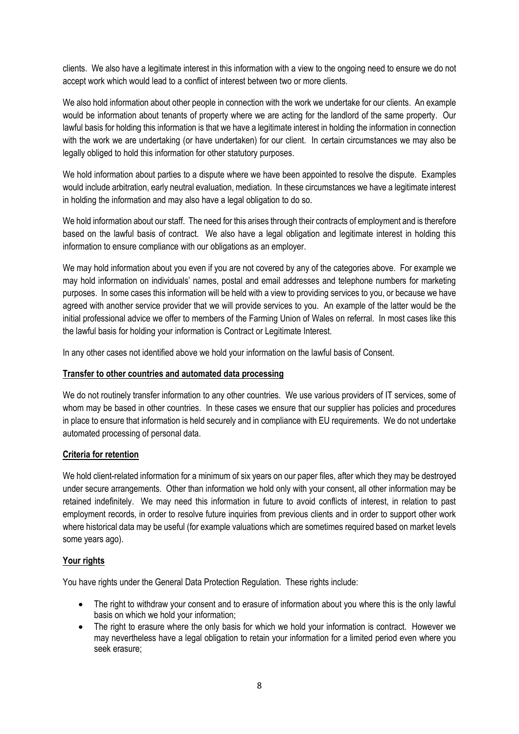clients. We also have a legitimate interest in this information with a view to the ongoing need to ensure we do not accept work which would lead to a conflict of interest between two or more clients.

We also hold information about other people in connection with the work we undertake for our clients. An example would be information about tenants of property where we are acting for the landlord of the same property. Our lawful basis for holding this information is that we have a legitimate interest in holding the information in connection with the work we are undertaking (or have undertaken) for our client. In certain circumstances we may also be legally obliged to hold this information for other statutory purposes.

We hold information about parties to a dispute where we have been appointed to resolve the dispute. Examples would include arbitration, early neutral evaluation, mediation. In these circumstances we have a legitimate interest in holding the information and may also have a legal obligation to do so.

We hold information about our staff. The need for this arises through their contracts of employment and is therefore based on the lawful basis of contract. We also have a legal obligation and legitimate interest in holding this information to ensure compliance with our obligations as an employer.

We may hold information about you even if you are not covered by any of the categories above. For example we may hold information on individuals' names, postal and email addresses and telephone numbers for marketing purposes. In some cases this information will be held with a view to providing services to you, or because we have agreed with another service provider that we will provide services to you. An example of the latter would be the initial professional advice we offer to members of the Farming Union of Wales on referral. In most cases like this the lawful basis for holding your information is Contract or Legitimate Interest.

In any other cases not identified above we hold your information on the lawful basis of Consent.

# **Transfer to other countries and automated data processing**

We do not routinely transfer information to any other countries. We use various providers of IT services, some of whom may be based in other countries. In these cases we ensure that our supplier has policies and procedures in place to ensure that information is held securely and in compliance with EU requirements. We do not undertake automated processing of personal data.

# **Criteria for retention**

We hold client-related information for a minimum of six years on our paper files, after which they may be destroyed under secure arrangements. Other than information we hold only with your consent, all other information may be retained indefinitely. We may need this information in future to avoid conflicts of interest, in relation to past employment records, in order to resolve future inquiries from previous clients and in order to support other work where historical data may be useful (for example valuations which are sometimes required based on market levels some years ago).

#### **Your rights**

You have rights under the General Data Protection Regulation. These rights include:

- The right to withdraw your consent and to erasure of information about you where this is the only lawful basis on which we hold your information;
- The right to erasure where the only basis for which we hold your information is contract. However we may nevertheless have a legal obligation to retain your information for a limited period even where you seek erasure;